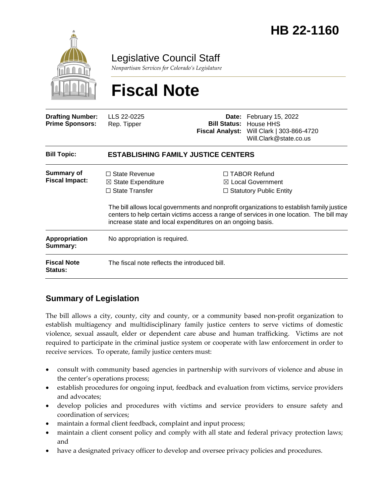

Legislative Council Staff

*Nonpartisan Services for Colorado's Legislature*

# **Fiscal Note**

| <b>Drafting Number:</b><br><b>Prime Sponsors:</b> | LLS 22-0225<br>Rep. Tipper                                                                                                                   |  | Date: February 15, 2022<br><b>Bill Status: House HHS</b><br>Fiscal Analyst: Will Clark   303-866-4720<br>Will.Clark@state.co.us                                                                                                                                                |  |
|---------------------------------------------------|----------------------------------------------------------------------------------------------------------------------------------------------|--|--------------------------------------------------------------------------------------------------------------------------------------------------------------------------------------------------------------------------------------------------------------------------------|--|
| <b>Bill Topic:</b>                                | <b>ESTABLISHING FAMILY JUSTICE CENTERS</b>                                                                                                   |  |                                                                                                                                                                                                                                                                                |  |
| <b>Summary of</b><br><b>Fiscal Impact:</b>        | $\Box$ State Revenue<br>$\boxtimes$ State Expenditure<br>$\Box$ State Transfer<br>increase state and local expenditures on an ongoing basis. |  | $\Box$ TABOR Refund<br>$\boxtimes$ Local Government<br>$\Box$ Statutory Public Entity<br>The bill allows local governments and nonprofit organizations to establish family justice<br>centers to help certain victims access a range of services in one location. The bill may |  |
| Appropriation<br>Summary:                         | No appropriation is required.                                                                                                                |  |                                                                                                                                                                                                                                                                                |  |
| <b>Fiscal Note</b><br><b>Status:</b>              | The fiscal note reflects the introduced bill.                                                                                                |  |                                                                                                                                                                                                                                                                                |  |

### **Summary of Legislation**

The bill allows a city, county, city and county, or a community based non-profit organization to establish multiagency and multidisciplinary family justice centers to serve victims of domestic violence, sexual assault, elder or dependent care abuse and human trafficking. Victims are not required to participate in the criminal justice system or cooperate with law enforcement in order to receive services. To operate, family justice centers must:

- consult with community based agencies in partnership with survivors of violence and abuse in the center's operations process;
- establish procedures for ongoing input, feedback and evaluation from victims, service providers and advocates;
- develop policies and procedures with victims and service providers to ensure safety and coordination of services;
- maintain a formal client feedback, complaint and input process;
- maintain a client consent policy and comply with all state and federal privacy protection laws; and
- have a designated privacy officer to develop and oversee privacy policies and procedures.